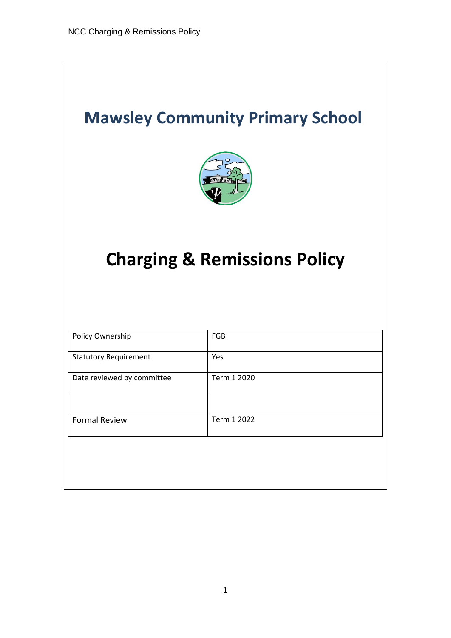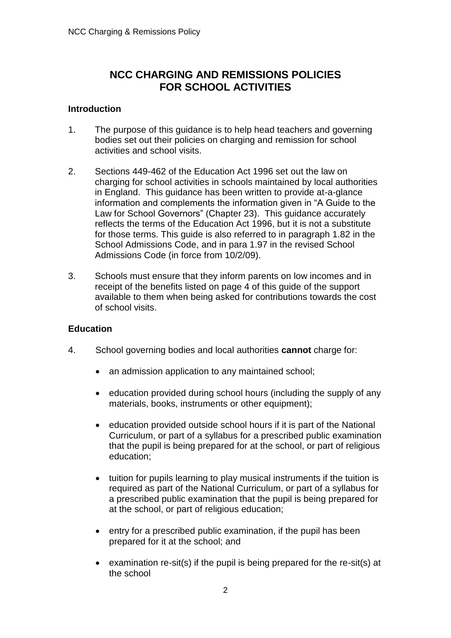# **NCC CHARGING AND REMISSIONS POLICIES FOR SCHOOL ACTIVITIES**

# **Introduction**

- 1. The purpose of this guidance is to help head teachers and governing bodies set out their policies on charging and remission for school activities and school visits.
- 2. Sections 449-462 of the Education Act 1996 set out the law on charging for school activities in schools maintained by local authorities in England. This guidance has been written to provide at-a-glance information and complements the information given in "A Guide to the Law for School Governors" (Chapter 23). This guidance accurately reflects the terms of the Education Act 1996, but it is not a substitute for those terms. This guide is also referred to in paragraph 1.82 in the School Admissions Code, and in para 1.97 in the revised School Admissions Code (in force from 10/2/09).
- 3. Schools must ensure that they inform parents on low incomes and in receipt of the benefits listed on page 4 of this guide of the support available to them when being asked for contributions towards the cost of school visits.

### **Education**

- 4. School governing bodies and local authorities **cannot** charge for:
	- an admission application to any maintained school:
	- education provided during school hours (including the supply of any materials, books, instruments or other equipment);
	- education provided outside school hours if it is part of the National Curriculum, or part of a syllabus for a prescribed public examination that the pupil is being prepared for at the school, or part of religious education;
	- tuition for pupils learning to play musical instruments if the tuition is required as part of the National Curriculum, or part of a syllabus for a prescribed public examination that the pupil is being prepared for at the school, or part of religious education;
	- entry for a prescribed public examination, if the pupil has been prepared for it at the school; and
	- examination re-sit(s) if the pupil is being prepared for the re-sit(s) at the school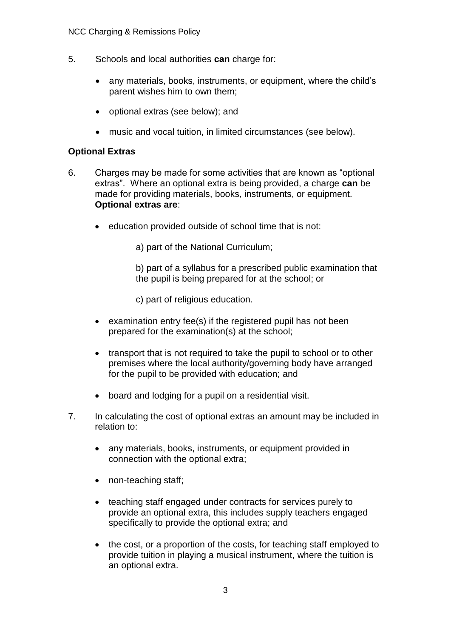- 5. Schools and local authorities **can** charge for:
	- any materials, books, instruments, or equipment, where the child's parent wishes him to own them;
	- optional extras (see below); and
	- music and vocal tuition, in limited circumstances (see below).

# **Optional Extras**

- 6. Charges may be made for some activities that are known as "optional extras". Where an optional extra is being provided, a charge **can** be made for providing materials, books, instruments, or equipment. **Optional extras are**:
	- education provided outside of school time that is not:

a) part of the National Curriculum;

b) part of a syllabus for a prescribed public examination that the pupil is being prepared for at the school; or

c) part of religious education.

- examination entry fee(s) if the registered pupil has not been prepared for the examination(s) at the school;
- transport that is not required to take the pupil to school or to other premises where the local authority/governing body have arranged for the pupil to be provided with education; and
- board and lodging for a pupil on a residential visit.
- 7. In calculating the cost of optional extras an amount may be included in relation to:
	- any materials, books, instruments, or equipment provided in connection with the optional extra;
	- non-teaching staff;
	- teaching staff engaged under contracts for services purely to provide an optional extra, this includes supply teachers engaged specifically to provide the optional extra; and
	- the cost, or a proportion of the costs, for teaching staff employed to provide tuition in playing a musical instrument, where the tuition is an optional extra.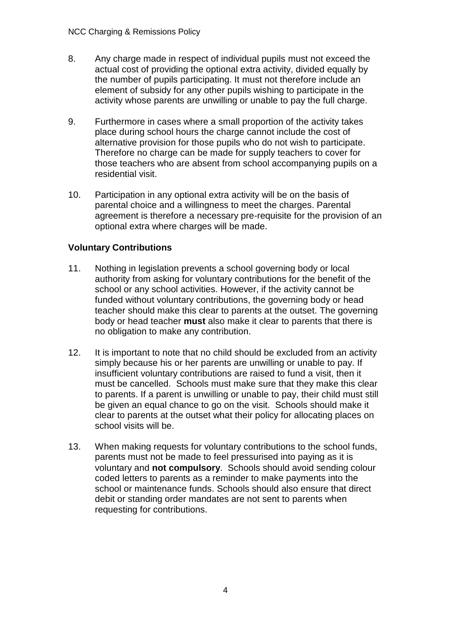- 8. Any charge made in respect of individual pupils must not exceed the actual cost of providing the optional extra activity, divided equally by the number of pupils participating. It must not therefore include an element of subsidy for any other pupils wishing to participate in the activity whose parents are unwilling or unable to pay the full charge.
- 9. Furthermore in cases where a small proportion of the activity takes place during school hours the charge cannot include the cost of alternative provision for those pupils who do not wish to participate. Therefore no charge can be made for supply teachers to cover for those teachers who are absent from school accompanying pupils on a residential visit.
- 10. Participation in any optional extra activity will be on the basis of parental choice and a willingness to meet the charges. Parental agreement is therefore a necessary pre-requisite for the provision of an optional extra where charges will be made.

# **Voluntary Contributions**

- 11. Nothing in legislation prevents a school governing body or local authority from asking for voluntary contributions for the benefit of the school or any school activities. However, if the activity cannot be funded without voluntary contributions, the governing body or head teacher should make this clear to parents at the outset. The governing body or head teacher **must** also make it clear to parents that there is no obligation to make any contribution.
- 12. It is important to note that no child should be excluded from an activity simply because his or her parents are unwilling or unable to pay. If insufficient voluntary contributions are raised to fund a visit, then it must be cancelled. Schools must make sure that they make this clear to parents. If a parent is unwilling or unable to pay, their child must still be given an equal chance to go on the visit. Schools should make it clear to parents at the outset what their policy for allocating places on school visits will be.
- 13. When making requests for voluntary contributions to the school funds, parents must not be made to feel pressurised into paying as it is voluntary and **not compulsory**. Schools should avoid sending colour coded letters to parents as a reminder to make payments into the school or maintenance funds. Schools should also ensure that direct debit or standing order mandates are not sent to parents when requesting for contributions.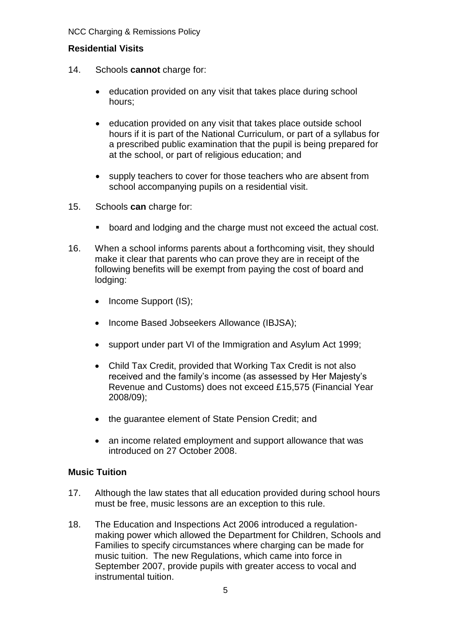# **Residential Visits**

- 14. Schools **cannot** charge for:
	- education provided on any visit that takes place during school hours;
	- education provided on any visit that takes place outside school hours if it is part of the National Curriculum, or part of a syllabus for a prescribed public examination that the pupil is being prepared for at the school, or part of religious education; and
	- supply teachers to cover for those teachers who are absent from school accompanying pupils on a residential visit.
- 15. Schools **can** charge for:
	- board and lodging and the charge must not exceed the actual cost.
- 16. When a school informs parents about a forthcoming visit, they should make it clear that parents who can prove they are in receipt of the following benefits will be exempt from paying the cost of board and lodging:
	- Income Support (IS);
	- Income Based Jobseekers Allowance (IBJSA);
	- support under part VI of the Immigration and Asylum Act 1999;
	- Child Tax Credit, provided that Working Tax Credit is not also received and the family's income (as assessed by Her Majesty's Revenue and Customs) does not exceed £15,575 (Financial Year 2008/09);
	- the guarantee element of State Pension Credit; and
	- an income related employment and support allowance that was introduced on 27 October 2008.

### **Music Tuition**

- 17. Although the law states that all education provided during school hours must be free, music lessons are an exception to this rule.
- 18. The Education and Inspections Act 2006 introduced a regulationmaking power which allowed the Department for Children, Schools and Families to specify circumstances where charging can be made for music tuition. The new Regulations, which came into force in September 2007, provide pupils with greater access to vocal and instrumental tuition.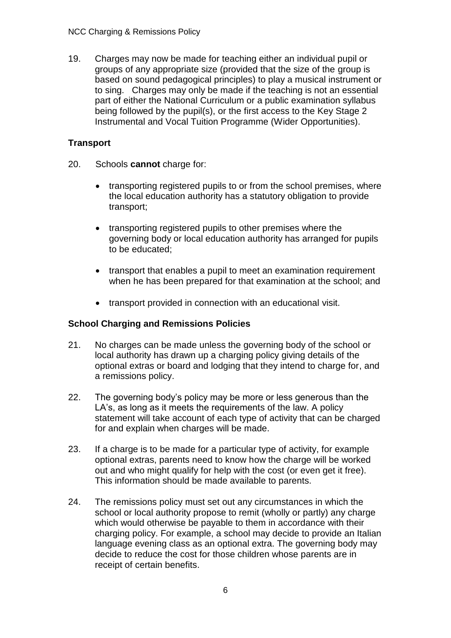19. Charges may now be made for teaching either an individual pupil or groups of any appropriate size (provided that the size of the group is based on sound pedagogical principles) to play a musical instrument or to sing. Charges may only be made if the teaching is not an essential part of either the National Curriculum or a public examination syllabus being followed by the pupil(s), or the first access to the Key Stage 2 Instrumental and Vocal Tuition Programme (Wider Opportunities).

# **Transport**

- 20. Schools **cannot** charge for:
	- transporting registered pupils to or from the school premises, where the local education authority has a statutory obligation to provide transport;
	- transporting registered pupils to other premises where the governing body or local education authority has arranged for pupils to be educated;
	- transport that enables a pupil to meet an examination requirement when he has been prepared for that examination at the school; and
	- transport provided in connection with an educational visit.

# **School Charging and Remissions Policies**

- 21. No charges can be made unless the governing body of the school or local authority has drawn up a charging policy giving details of the optional extras or board and lodging that they intend to charge for, and a remissions policy.
- 22. The governing body's policy may be more or less generous than the LA's, as long as it meets the requirements of the law. A policy statement will take account of each type of activity that can be charged for and explain when charges will be made.
- 23. If a charge is to be made for a particular type of activity, for example optional extras, parents need to know how the charge will be worked out and who might qualify for help with the cost (or even get it free). This information should be made available to parents.
- 24. The remissions policy must set out any circumstances in which the school or local authority propose to remit (wholly or partly) any charge which would otherwise be payable to them in accordance with their charging policy. For example, a school may decide to provide an Italian language evening class as an optional extra. The governing body may decide to reduce the cost for those children whose parents are in receipt of certain benefits.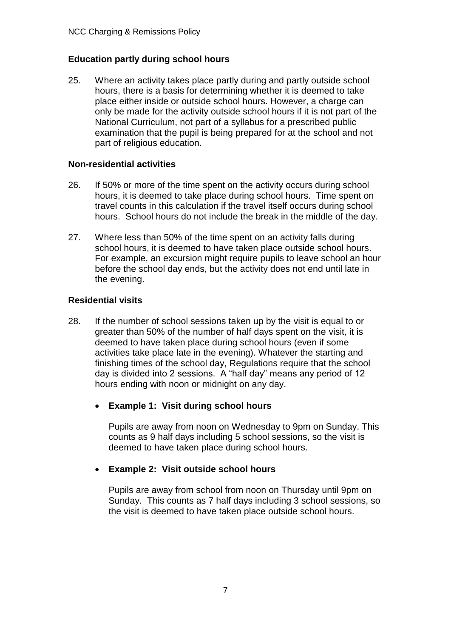# **Education partly during school hours**

25. Where an activity takes place partly during and partly outside school hours, there is a basis for determining whether it is deemed to take place either inside or outside school hours. However, a charge can only be made for the activity outside school hours if it is not part of the National Curriculum, not part of a syllabus for a prescribed public examination that the pupil is being prepared for at the school and not part of religious education.

#### **Non-residential activities**

- 26. If 50% or more of the time spent on the activity occurs during school hours, it is deemed to take place during school hours. Time spent on travel counts in this calculation if the travel itself occurs during school hours. School hours do not include the break in the middle of the day.
- 27. Where less than 50% of the time spent on an activity falls during school hours, it is deemed to have taken place outside school hours. For example, an excursion might require pupils to leave school an hour before the school day ends, but the activity does not end until late in the evening.

### **Residential visits**

- 28. If the number of school sessions taken up by the visit is equal to or greater than 50% of the number of half days spent on the visit, it is deemed to have taken place during school hours (even if some activities take place late in the evening). Whatever the starting and finishing times of the school day, Regulations require that the school day is divided into 2 sessions. A "half day" means any period of 12 hours ending with noon or midnight on any day.
	- **Example 1: Visit during school hours**

Pupils are away from noon on Wednesday to 9pm on Sunday. This counts as 9 half days including 5 school sessions, so the visit is deemed to have taken place during school hours.

### • **Example 2: Visit outside school hours**

Pupils are away from school from noon on Thursday until 9pm on Sunday. This counts as 7 half days including 3 school sessions, so the visit is deemed to have taken place outside school hours.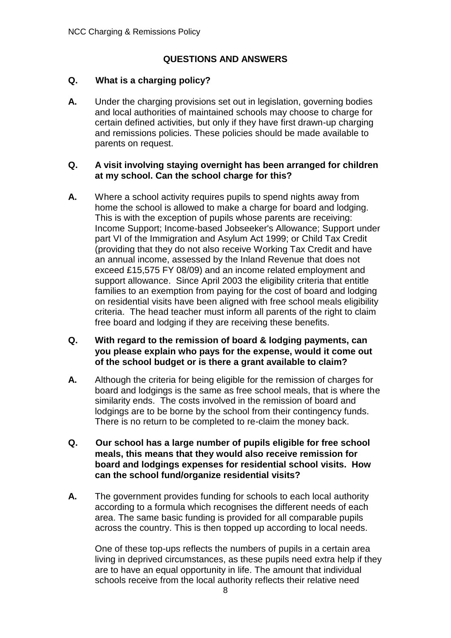# **QUESTIONS AND ANSWERS**

# **Q. What is a charging policy?**

**A.** Under the charging provisions set out in legislation, governing bodies and local authorities of maintained schools may choose to charge for certain defined activities, but only if they have first drawn-up charging and remissions policies. These policies should be made available to parents on request.

## **Q. A visit involving staying overnight has been arranged for children at my school. Can the school charge for this?**

**A.** Where a school activity requires pupils to spend nights away from home the school is allowed to make a charge for board and lodging. This is with the exception of pupils whose parents are receiving: Income Support; Income-based Jobseeker's Allowance; Support under part VI of the Immigration and Asylum Act 1999; or Child Tax Credit (providing that they do not also receive Working Tax Credit and have an annual income, assessed by the Inland Revenue that does not exceed £15,575 FY 08/09) and an income related employment and support allowance. Since April 2003 the eligibility criteria that entitle families to an exemption from paying for the cost of board and lodging on residential visits have been aligned with free school meals eligibility criteria. The head teacher must inform all parents of the right to claim free board and lodging if they are receiving these benefits.

# **Q. With regard to the remission of board & lodging payments, can you please explain who pays for the expense, would it come out of the school budget or is there a grant available to claim?**

- **A.** Although the criteria for being eligible for the remission of charges for board and lodgings is the same as free school meals, that is where the similarity ends. The costs involved in the remission of board and lodgings are to be borne by the school from their contingency funds. There is no return to be completed to re-claim the money back.
- **Q. Our school has a large number of pupils eligible for free school meals, this means that they would also receive remission for board and lodgings expenses for residential school visits. How can the school fund/organize residential visits?**
- **A.** The government provides funding for schools to each local authority according to a formula which recognises the different needs of each area. The same basic funding is provided for all comparable pupils across the country. This is then topped up according to local needs.

One of these top-ups reflects the numbers of pupils in a certain area living in deprived circumstances, as these pupils need extra help if they are to have an equal opportunity in life. The amount that individual schools receive from the local authority reflects their relative need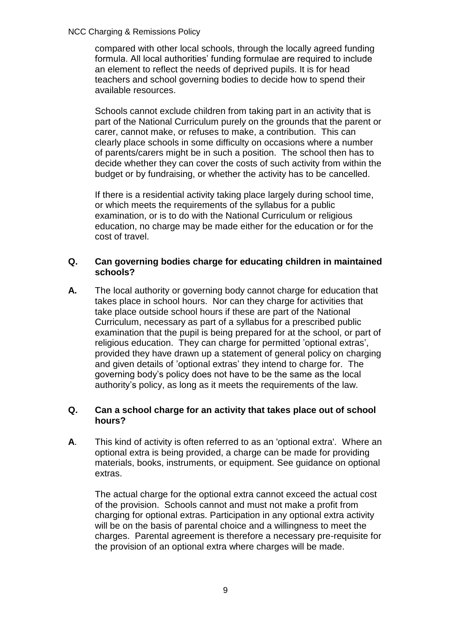#### NCC Charging & Remissions Policy

compared with other local schools, through the locally agreed funding formula. All local authorities' funding formulae are required to include an element to reflect the needs of deprived pupils. It is for head teachers and school governing bodies to decide how to spend their available resources.

Schools cannot exclude children from taking part in an activity that is part of the National Curriculum purely on the grounds that the parent or carer, cannot make, or refuses to make, a contribution. This can clearly place schools in some difficulty on occasions where a number of parents/carers might be in such a position. The school then has to decide whether they can cover the costs of such activity from within the budget or by fundraising, or whether the activity has to be cancelled.

If there is a residential activity taking place largely during school time, or which meets the requirements of the syllabus for a public examination, or is to do with the National Curriculum or religious education, no charge may be made either for the education or for the cost of travel.

## **Q. Can governing bodies charge for educating children in maintained schools?**

**A.** The local authority or governing body cannot charge for education that takes place in school hours. Nor can they charge for activities that take place outside school hours if these are part of the National Curriculum, necessary as part of a syllabus for a prescribed public examination that the pupil is being prepared for at the school, or part of religious education. They can charge for permitted 'optional extras', provided they have drawn up a statement of general policy on charging and given details of 'optional extras' they intend to charge for. The governing body's policy does not have to be the same as the local authority's policy, as long as it meets the requirements of the law.

### **Q. Can a school charge for an activity that takes place out of school hours?**

**A**. This kind of activity is often referred to as an 'optional extra'. Where an optional extra is being provided, a charge can be made for providing materials, books, instruments, or equipment. See guidance on optional extras.

The actual charge for the optional extra cannot exceed the actual cost of the provision. Schools cannot and must not make a profit from charging for optional extras. Participation in any optional extra activity will be on the basis of parental choice and a willingness to meet the charges. Parental agreement is therefore a necessary pre-requisite for the provision of an optional extra where charges will be made.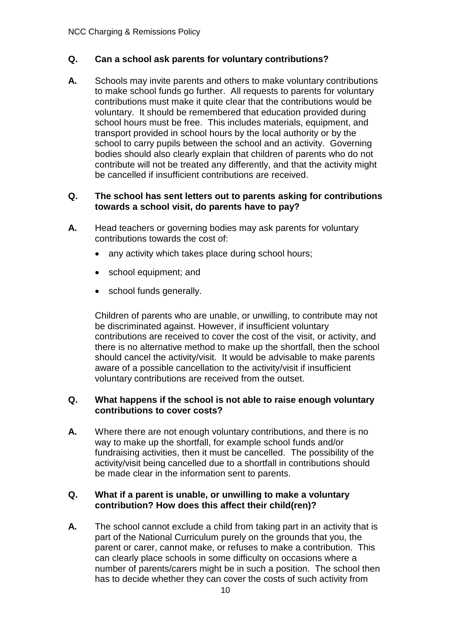# **Q. Can a school ask parents for voluntary contributions?**

**A.** Schools may invite parents and others to make voluntary contributions to make school funds go further. All requests to parents for voluntary contributions must make it quite clear that the contributions would be voluntary. It should be remembered that education provided during school hours must be free. This includes materials, equipment, and transport provided in school hours by the local authority or by the school to carry pupils between the school and an activity. Governing bodies should also clearly explain that children of parents who do not contribute will not be treated any differently, and that the activity might be cancelled if insufficient contributions are received.

## **Q. The school has sent letters out to parents asking for contributions towards a school visit, do parents have to pay?**

- **A.** Head teachers or governing bodies may ask parents for voluntary contributions towards the cost of:
	- any activity which takes place during school hours;
	- school equipment; and
	- school funds generally.

Children of parents who are unable, or unwilling, to contribute may not be discriminated against. However, if insufficient voluntary contributions are received to cover the cost of the visit, or activity, and there is no alternative method to make up the shortfall, then the school should cancel the activity/visit. It would be advisable to make parents aware of a possible cancellation to the activity/visit if insufficient voluntary contributions are received from the outset.

### **Q. What happens if the school is not able to raise enough voluntary contributions to cover costs?**

**A.** Where there are not enough voluntary contributions, and there is no way to make up the shortfall, for example school funds and/or fundraising activities, then it must be cancelled. The possibility of the activity/visit being cancelled due to a shortfall in contributions should be made clear in the information sent to parents.

# **Q. What if a parent is unable, or unwilling to make a voluntary contribution? How does this affect their child(ren)?**

**A.** The school cannot exclude a child from taking part in an activity that is part of the National Curriculum purely on the grounds that you, the parent or carer, cannot make, or refuses to make a contribution. This can clearly place schools in some difficulty on occasions where a number of parents/carers might be in such a position. The school then has to decide whether they can cover the costs of such activity from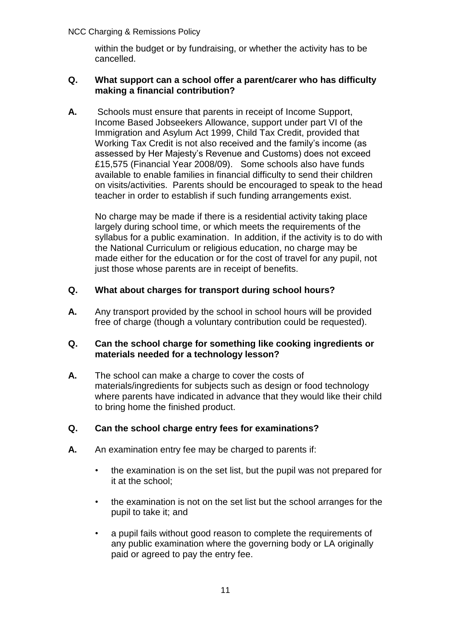#### NCC Charging & Remissions Policy

within the budget or by fundraising, or whether the activity has to be cancelled.

#### **Q. What support can a school offer a parent/carer who has difficulty making a financial contribution?**

**A.** Schools must ensure that parents in receipt of Income Support, Income Based Jobseekers Allowance, support under part VI of the Immigration and Asylum Act 1999, Child Tax Credit, provided that Working Tax Credit is not also received and the family's income (as assessed by Her Majesty's Revenue and Customs) does not exceed £15,575 (Financial Year 2008/09). Some schools also have funds available to enable families in financial difficulty to send their children on visits/activities. Parents should be encouraged to speak to the head teacher in order to establish if such funding arrangements exist.

No charge may be made if there is a residential activity taking place largely during school time, or which meets the requirements of the syllabus for a public examination. In addition, if the activity is to do with the National Curriculum or religious education, no charge may be made either for the education or for the cost of travel for any pupil, not just those whose parents are in receipt of benefits.

# **Q. What about charges for transport during school hours?**

**A.** Any transport provided by the school in school hours will be provided free of charge (though a voluntary contribution could be requested).

### **Q. Can the school charge for something like cooking ingredients or materials needed for a technology lesson?**

**A.** The school can make a charge to cover the costs of materials/ingredients for subjects such as design or food technology where parents have indicated in advance that they would like their child to bring home the finished product.

### **Q. Can the school charge entry fees for examinations?**

- **A.** An examination entry fee may be charged to parents if:
	- the examination is on the set list, but the pupil was not prepared for it at the school;
	- the examination is not on the set list but the school arranges for the pupil to take it; and
	- a pupil fails without good reason to complete the requirements of any public examination where the governing body or LA originally paid or agreed to pay the entry fee.